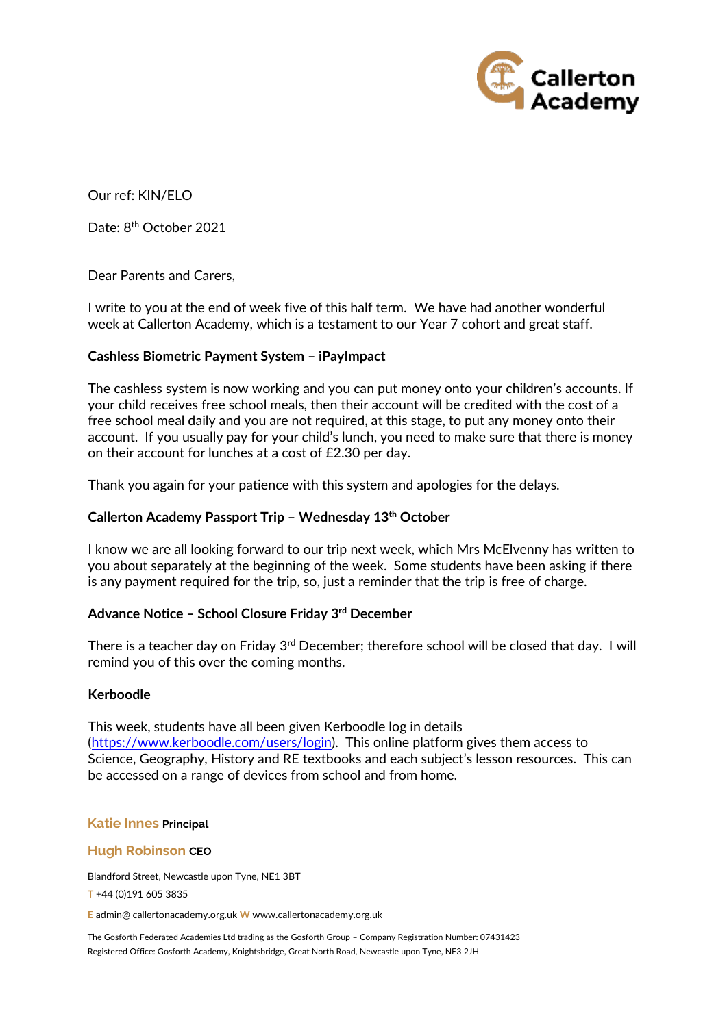

Our ref: KIN/ELO

Date: 8<sup>th</sup> October 2021

Dear Parents and Carers,

I write to you at the end of week five of this half term. We have had another wonderful week at Callerton Academy, which is a testament to our Year 7 cohort and great staff.

# **Cashless Biometric Payment System – iPayImpact**

The cashless system is now working and you can put money onto your children's accounts. If your child receives free school meals, then their account will be credited with the cost of a free school meal daily and you are not required, at this stage, to put any money onto their account. If you usually pay for your child's lunch, you need to make sure that there is money on their account for lunches at a cost of £2.30 per day.

Thank you again for your patience with this system and apologies for the delays.

# **Callerton Academy Passport Trip – Wednesday 13th October**

I know we are all looking forward to our trip next week, which Mrs McElvenny has written to you about separately at the beginning of the week. Some students have been asking if there is any payment required for the trip, so, just a reminder that the trip is free of charge.

# **Advance Notice – School Closure Friday 3rd December**

There is a teacher day on Friday 3<sup>rd</sup> December; therefore school will be closed that day. I will remind you of this over the coming months.

## **Kerboodle**

This week, students have all been given Kerboodle log in details [\(https://www.kerboodle.com/users/login\)](https://www.kerboodle.com/users/login). This online platform gives them access to Science, Geography, History and RE textbooks and each subject's lesson resources. This can be accessed on a range of devices from school and from home.

### **Katie Innes Principal**

### **Hugh Robinson CEO**

Blandford Street, Newcastle upon Tyne, NE1 3BT

**T** +44 (0)191 605 3835

**E** admin@ callertonacademy.org.uk **W** www.callertonacademy.org.uk

The Gosforth Federated Academies Ltd trading as the Gosforth Group – Company Registration Number: 07431423 Registered Office: Gosforth Academy, Knightsbridge, Great North Road, Newcastle upon Tyne, NE3 2JH